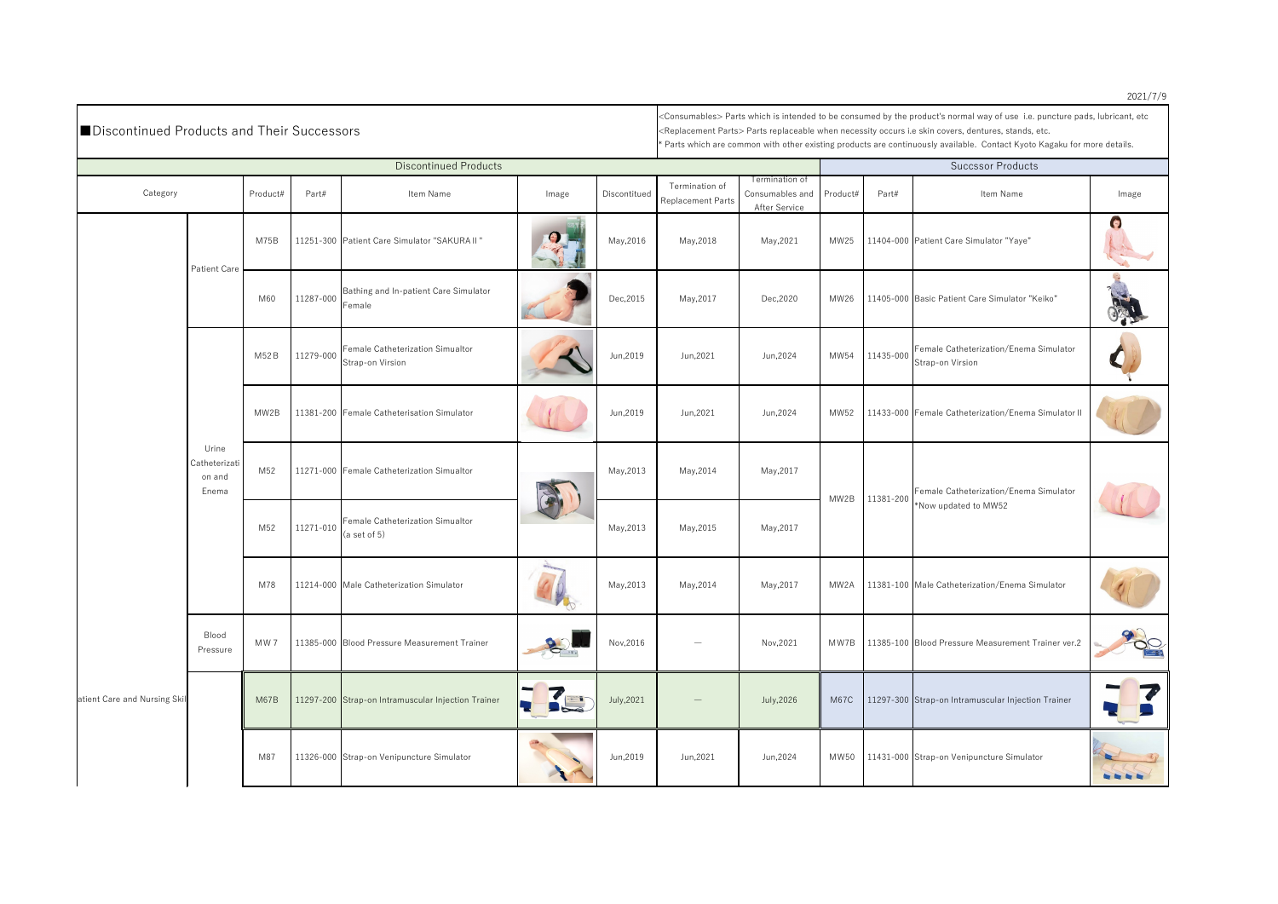| ■Discontinued Products and Their Successors |                                           |          |           |                                                            |       |              | <consumables> Parts which is intended to be consumed by the product's normal way of use i.e. puncture pads, lubricant, etc<br/><math>\mid</math><replacement parts=""> Parts replaceable when necessity occurs i.e skin covers, dentures, stands, etc.<br/>* Parts which are common with other existing products are continuously available. Contact Kyoto Kagaku for more details.</replacement></consumables> |                                                    |          |           |                                                                |             |  |
|---------------------------------------------|-------------------------------------------|----------|-----------|------------------------------------------------------------|-------|--------------|-----------------------------------------------------------------------------------------------------------------------------------------------------------------------------------------------------------------------------------------------------------------------------------------------------------------------------------------------------------------------------------------------------------------|----------------------------------------------------|----------|-----------|----------------------------------------------------------------|-------------|--|
| <b>Discontinued Products</b>                |                                           |          |           |                                                            |       |              |                                                                                                                                                                                                                                                                                                                                                                                                                 | <b>Succssor Products</b>                           |          |           |                                                                |             |  |
| Category                                    |                                           | Product# | Part#     | Item Name                                                  | Image | Discontitued | Termination of<br><b>Replacement Parts</b>                                                                                                                                                                                                                                                                                                                                                                      | Termination of<br>Consumables and<br>After Service | Product# | Part#     | Item Name                                                      | Image       |  |
|                                             | <b>Patient Care</b>                       | M75B     |           | 11251-300 Patient Care Simulator "SAKURA II"               |       | May, 2016    | May, 2018                                                                                                                                                                                                                                                                                                                                                                                                       | May, 2021                                          | MW25     |           | 11404-000 Patient Care Simulator "Yaye"                        | $\bullet$   |  |
|                                             |                                           | M60      | 11287-000 | Bathing and In-patient Care Simulator<br>Female            |       | Dec, 2015    | May, 2017                                                                                                                                                                                                                                                                                                                                                                                                       | Dec, 2020                                          | MW26     |           | 11405-000 Basic Patient Care Simulator "Keiko"                 |             |  |
|                                             |                                           | M52B     | 11279-000 | Female Catheterization Simualtor<br>Strap-on Virsion       |       | Jun, 2019    | Jun, 2021                                                                                                                                                                                                                                                                                                                                                                                                       | Jun, 2024                                          | MW54     | 11435-000 | Female Catheterization/Enema Simulator<br>Strap-on Virsion     |             |  |
|                                             |                                           | MW2B     |           | 11381-200 Female Catheterisation Simulator                 |       | Jun, 2019    | Jun, 2021                                                                                                                                                                                                                                                                                                                                                                                                       | Jun, 2024                                          | MW52     |           | 11433-000 Female Catheterization/Enema Simulator II            |             |  |
|                                             | Urine<br>Catheterizati<br>on and<br>Enema | M52      |           | 11271-000 Female Catheterization Simualtor                 |       | May, 2013    | May, 2014                                                                                                                                                                                                                                                                                                                                                                                                       | May, 2017                                          | MW2B     | 11381-200 | Female Catheterization/Enema Simulator<br>*Now updated to MW52 |             |  |
|                                             |                                           | M52      |           | 11271-010 Female Catheterization Simualtor<br>(a set of 5) |       | May, 2013    | May, 2015                                                                                                                                                                                                                                                                                                                                                                                                       | May, 2017                                          |          |           |                                                                |             |  |
| atient Care and Nursing Skil                |                                           | M78      |           | 11214-000 Male Catheterization Simulator                   |       | May, 2013    | May, 2014                                                                                                                                                                                                                                                                                                                                                                                                       | May, 2017                                          | MW2A     |           | 11381-100 Male Catheterization/Enema Simulator                 |             |  |
|                                             | Blood<br>Pressure                         | MW7      |           | 11385-000 Blood Pressure Measurement Trainer               |       | Nov, 2016    |                                                                                                                                                                                                                                                                                                                                                                                                                 | Nov, 2021                                          | MW7B     |           | 11385-100 Blood Pressure Measurement Trainer ver.2             | PO          |  |
|                                             |                                           | M67B     |           | 11297-200 Strap-on Intramuscular Injection Trainer         |       | July, 2021   |                                                                                                                                                                                                                                                                                                                                                                                                                 | July, 2026                                         | M67C     |           | 11297-300 Strap-on Intramuscular Injection Trainer             |             |  |
|                                             |                                           | M87      |           | 11326-000 Strap-on Venipuncture Simulator                  |       | Jun, 2019    | Jun, 2021                                                                                                                                                                                                                                                                                                                                                                                                       | Jun,2024                                           |          |           | MW50   11431-000 Strap-on Venipuncture Simulator               | by by by by |  |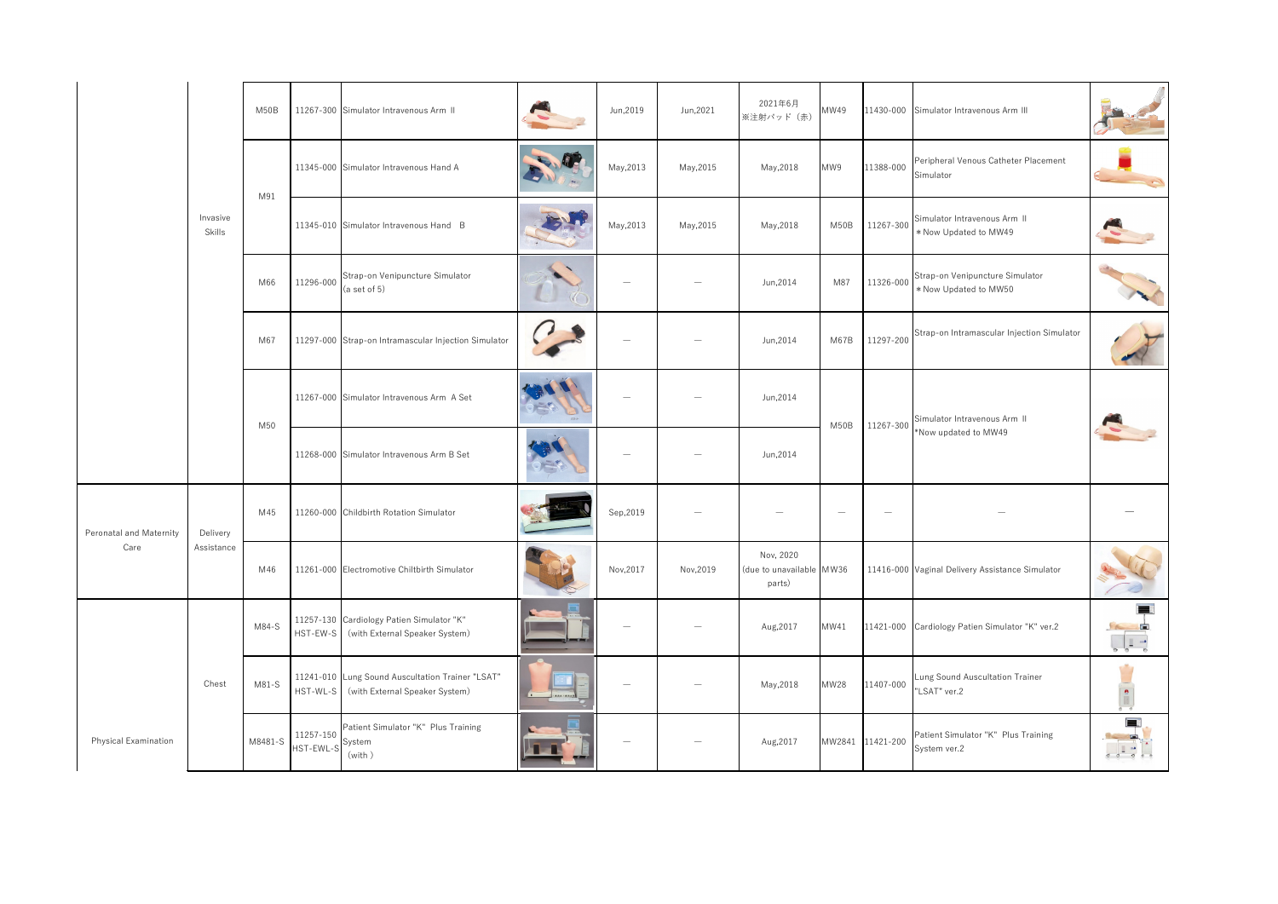|                                        | Invasive<br>Skills     | M50B    | 11267-300 Simulator Intravenous Arm II                                                         |          | Jun, 2019                | Jun, 2021 | 2021年6月<br>※注射パッド (赤) | MW49                            |                                 | 11430-000 Simulator Intravenous Arm III                  |                                                                                                                                                                                                                                                                                                                                                                                                                                                                                 |           |           |                                                 |  |  |
|----------------------------------------|------------------------|---------|------------------------------------------------------------------------------------------------|----------|--------------------------|-----------|-----------------------|---------------------------------|---------------------------------|----------------------------------------------------------|---------------------------------------------------------------------------------------------------------------------------------------------------------------------------------------------------------------------------------------------------------------------------------------------------------------------------------------------------------------------------------------------------------------------------------------------------------------------------------|-----------|-----------|-------------------------------------------------|--|--|
|                                        |                        | M91     | 11345-000 Simulator Intravenous Hand A                                                         |          | May, 2013                | May, 2015 | May, 2018             | MW9                             | 11388-000                       | Peripheral Venous Catheter Placement<br>Simulator        |                                                                                                                                                                                                                                                                                                                                                                                                                                                                                 |           |           |                                                 |  |  |
|                                        |                        |         | 11345-010 Simulator Intravenous Hand B                                                         |          | May, 2013                | May, 2015 | May, 2018             | M50B                            | 11267-300                       | Simulator Intravenous Arm II<br>* Now Updated to MW49    |                                                                                                                                                                                                                                                                                                                                                                                                                                                                                 |           |           |                                                 |  |  |
|                                        |                        | M66     | Strap-on Venipuncture Simulator<br>11296-000<br>(a set of 5)                                   |          | $\overline{\phantom{a}}$ |           | Jun, 2014             | M87                             | 11326-000                       | Strap-on Venipuncture Simulator<br>* Now Updated to MW50 |                                                                                                                                                                                                                                                                                                                                                                                                                                                                                 |           |           |                                                 |  |  |
|                                        |                        | M67     | 11297-000 Strap-on Intramascular Injection Simulator                                           |          | $\overline{\phantom{m}}$ |           | Jun, 2014             | M67B                            | 11297-200                       | Strap-on Intramascular Injection Simulator               |                                                                                                                                                                                                                                                                                                                                                                                                                                                                                 |           |           |                                                 |  |  |
|                                        |                        | M50     | 11267-000 Simulator Intravenous Arm A Set                                                      |          |                          |           | Jun, 2014             | M50B                            | 11267-300                       | Simulator Intravenous Arm II<br>*Now updated to MW49     |                                                                                                                                                                                                                                                                                                                                                                                                                                                                                 |           |           |                                                 |  |  |
|                                        |                        |         | 11268-000 Simulator Intravenous Arm B Set                                                      | $\equiv$ |                          |           | Jun, 2014             |                                 |                                 |                                                          |                                                                                                                                                                                                                                                                                                                                                                                                                                                                                 |           |           |                                                 |  |  |
| <b>Peronatal and Maternity</b><br>Care | Delivery<br>Assistance | M45     | 11260-000 Childbirth Rotation Simulator                                                        |          | Sep, 2019                |           |                       | $\hspace{0.1mm}-\hspace{0.1mm}$ | $\hspace{0.1mm}-\hspace{0.1mm}$ |                                                          |                                                                                                                                                                                                                                                                                                                                                                                                                                                                                 |           |           |                                                 |  |  |
|                                        |                        |         |                                                                                                |          |                          |           |                       |                                 | M46                             | 11261-000 Electromotive Chiltbirth Simulator             |                                                                                                                                                                                                                                                                                                                                                                                                                                                                                 | Nov, 2017 | Nov, 2019 | Nov, 2020<br>(due to unavailable MW36<br>parts) |  |  |
|                                        |                        | M84-S   | 11257-130 Cardiology Patien Simulator "K"<br>(with External Speaker System)<br>HST-EW-S        |          |                          |           | Aug, 2017             | MW41                            |                                 | 11421-000 Cardiology Patien Simulator "K" ver.2          | <b>FB</b><br>n<br>$\begin{array}{c c c c c} & \multicolumn{3}{c }{\multicolumn{3}{c }{\multicolumn{3}{c }{\multicolumn{3}{c}}}} & \multicolumn{3}{c }{\multicolumn{3}{c }{\multicolumn{3}{c }{\multicolumn{3}{c}}}} & \multicolumn{3}{c }{\multicolumn{3}{c }{\multicolumn{3}{c }{\multicolumn{3}{c}}}} & \multicolumn{3}{c }{\multicolumn{3}{c }{\multicolumn{3}{c }{\multicolumn{3}{c}}}} & \multicolumn{3}{c }{\multicolumn{3}{c }{\multicolumn{3}{c }{\multicolumn{3}{c }{$ |           |           |                                                 |  |  |
|                                        | Chest                  | M81-S   | 11241-010 Lung Sound Auscultation Trainer "LSAT"<br>HST-WL-S<br>(with External Speaker System) |          |                          |           | May, 2018             | <b>MW28</b>                     | 11407-000                       | Lung Sound Auscultation Trainer<br>"LSAT" ver.2          |                                                                                                                                                                                                                                                                                                                                                                                                                                                                                 |           |           |                                                 |  |  |
| <b>Physical Examination</b>            |                        | M8481-S | Patient Simulator "K" Plus Training<br>11257-150<br>System<br>HST-EWL-S<br>(with)              |          | $\overline{\phantom{m}}$ |           | Aug, 2017             |                                 | MW2841 11421-200                | Patient Simulator "K" Plus Training<br>System ver.2      | 三覧<br>$\begin{array}{c c c c c} & \multicolumn{2}{c }{\bullet} & \multicolumn{2}{c }{\bullet} \\ \hline \circ & \circ & \circ & \circ \\ \multicolumn{2}{c }{\circ} & \multicolumn{2}{c }{\bullet} & \multicolumn{2}{c} \end{array}$                                                                                                                                                                                                                                            |           |           |                                                 |  |  |